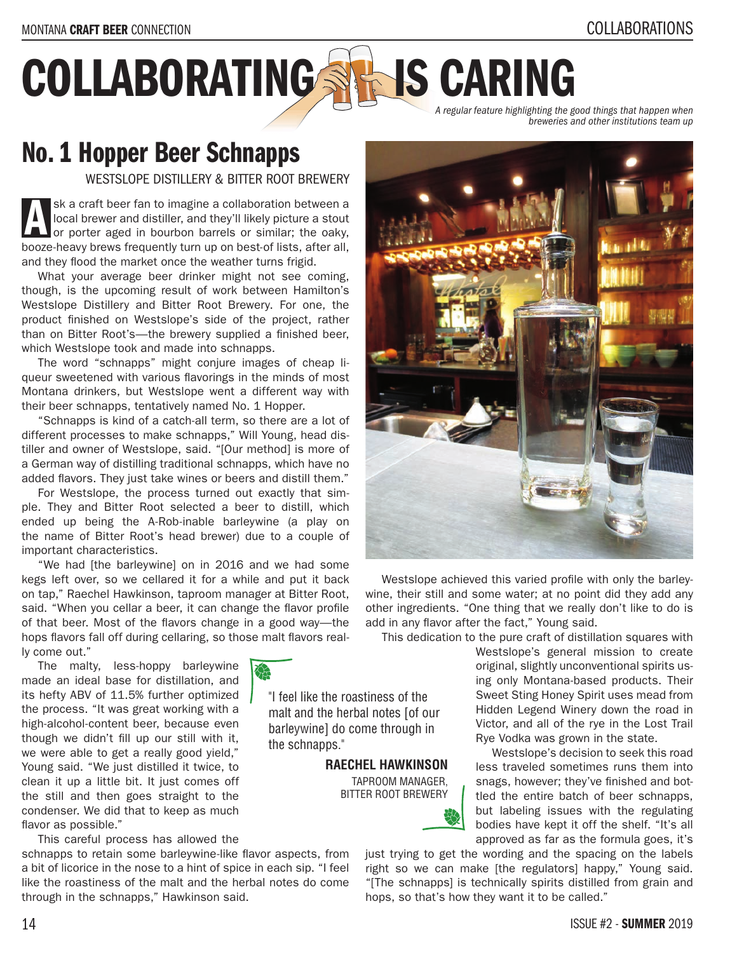## COLLABORATING SHAIS CARING

"I feel like the roastiness of the malt and the herbal notes [of our barleywine] do come through in

> **RAECHEL HAWKINSON** TAPROOM MANAGER, BITTER ROOT BREWERY

the schnapps."

*A regular feature highlighting the good things that happen when breweries and other institutions team up*

## No. 1 Hopper Beer Schnapps

WESTSLOPE DISTILLERY & BITTER ROOT BREWERY

sk a craft beer fan to imagine a collaboration between a local brewer and distiller, and they'll likely picture a stout or porter aged in bourbon barrels or similar; the oaky, booze-heavy brews frequently turn up on best-of lists, after all, and they flood the market once the weather turns frigid. A

What your average beer drinker might not see coming, though, is the upcoming result of work between Hamilton's Westslope Distillery and Bitter Root Brewery. For one, the product finished on Westslope's side of the project, rather than on Bitter Root's—the brewery supplied a finished beer, which Westslope took and made into schnapps.

The word "schnapps" might conjure images of cheap liqueur sweetened with various flavorings in the minds of most Montana drinkers, but Westslope went a different way with their beer schnapps, tentatively named No. 1 Hopper.

"Schnapps is kind of a catch-all term, so there are a lot of different processes to make schnapps," Will Young, head distiller and owner of Westslope, said. "[Our method] is more of a German way of distilling traditional schnapps, which have no added flavors. They just take wines or beers and distill them."

For Westslope, the process turned out exactly that simple. They and Bitter Root selected a beer to distill, which ended up being the A-Rob-inable barleywine (a play on the name of Bitter Root's head brewer) due to a couple of important characteristics.

"We had [the barleywine] on in 2016 and we had some kegs left over, so we cellared it for a while and put it back on tap," Raechel Hawkinson, taproom manager at Bitter Root, said. "When you cellar a beer, it can change the flavor profile of that beer. Most of the flavors change in a good way—the hops flavors fall off during cellaring, so those malt flavors really come out."

The malty, less-hoppy barleywine made an ideal base for distillation, and its hefty ABV of 11.5% further optimized the process. "It was great working with a high-alcohol-content beer, because even though we didn't fill up our still with it, we were able to get a really good yield," Young said. "We just distilled it twice, to clean it up a little bit. It just comes off the still and then goes straight to the condenser. We did that to keep as much flavor as possible."

This careful process has allowed the

schnapps to retain some barleywine-like flavor aspects, from a bit of licorice in the nose to a hint of spice in each sip. "I feel like the roastiness of the malt and the herbal notes do come through in the schnapps," Hawkinson said.



Westslope achieved this varied profile with only the barleywine, their still and some water; at no point did they add any other ingredients. "One thing that we really don't like to do is add in any flavor after the fact," Young said.

This dedication to the pure craft of distillation squares with

Westslope's general mission to create original, slightly unconventional spirits using only Montana-based products. Their Sweet Sting Honey Spirit uses mead from Hidden Legend Winery down the road in Victor, and all of the rye in the Lost Trail Rye Vodka was grown in the state.

Westslope's decision to seek this road less traveled sometimes runs them into snags, however; they've finished and bottled the entire batch of beer schnapps, but labeling issues with the regulating bodies have kept it off the shelf. "It's all approved as far as the formula goes, it's

just trying to get the wording and the spacing on the labels right so we can make [the regulators] happy," Young said. "[The schnapps] is technically spirits distilled from grain and hops, so that's how they want it to be called."